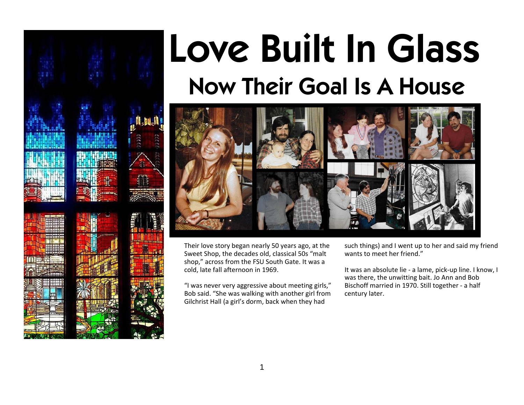



Their love story began nearly 50 years ago, at the Sweet Shop, the decades old, classical 50s "malt shop," across from the FSU South Gate. It was a cold, late fall afternoon in 1969.

"I was never very aggressive about meeting girls," Bob said. "She was walking with another girl from Gilchrist Hall (a girl's dorm, back when they had

such things) and I went up to her and said my friend wants to meet her friend."

It was an absolute lie - a lame, pick-up line. I know, I was there, the unwitting bait. Jo Ann and Bob Bischoff married in 1970. Still together - a half century later.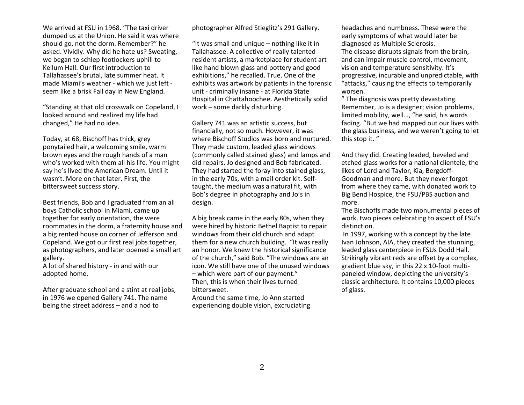We arrived at FSU in 1968. "The taxi driver dumped us at the Union. He said it was where should go, not the dorm. Remember?" he asked. Vividly. Why did he hate us? Sweating, we began to schlep footlockers uphill to Kellum Hall. Our first introduction to Tallahassee's brutal, late summer heat. It made Miami's weather - which we just left seem like a brisk Fall day in New England.

"Standing at that old crosswalk on Copeland, I looked around and realized my life had changed," He had no idea.

Today, at 68, Bischoff has thick, grey ponytailed hair, a welcoming smile, warm brown eyes and the rough hands of a man who's worked with them all his life. You might say he's lived the American Dream. Until it wasn't. More on that later. First, the bittersweet success story.

Best friends, Bob and I graduated from an all boys Catholic school in Miami, came up together for early orientation, the were roommates in the dorm, a fraternity house and a big rented house on corner of Jefferson and Copeland. We got our first real jobs together, as photographers, and later opened a small art gallery.

A lot of shared history - in and with our adopted home.

After graduate school and a stint at real jobs, in 1976 we opened Gallery 741. The name being the street address – and a nod to

photographer Alfred Stieglitz's 291 Gallery.

"It was small and unique – nothing like it in Tallahassee. A collective of really talented resident artists, a marketplace for student art like hand blown glass and pottery and good exhibitions," he recalled. True. One of the exhibits was artwork by patients in the forensic unit - criminally insane - at Florida State Hospital in Chattahoochee. Aesthetically solid work – some darkly disturbing.

Gallery 741 was an artistic success, but financially, not so much. However, it was where Bischoff Studios was born and nurtured. They made custom, leaded glass windows (commonly called stained glass) and lamps and did repairs. Jo designed and Bob fabricated. They had started the foray into stained glass, in the early 70s, with a mail order kit. Selftaught, the medium was a natural fit, with Bob's degree in photography and Jo's in design.

A big break came in the early 80s, when they were hired by historic Bethel Baptist to repair windows from their old church and adapt them for a new church building. "It was really an honor. We knew the historical significance of the church," said Bob. "The windows are an icon. We still have one of the unused windows – which were part of our payment." Then, this is when their lives turned bittersweet.

Around the same time, Jo Ann started experiencing double vision, excruciating headaches and numbness. These were the early symptoms of what would later be diagnosed as Multiple Sclerosis. The disease disrupts signals from the brain, and can impair muscle control, movement, vision and temperature sensitivity. It's progressive, incurable and unpredictable, with "attacks," causing the effects to temporarily worsen.

" The diagnosis was pretty devastating. Remember, Jo is a designer; vision problems, limited mobility, well…, "he said, his words fading. "But we had mapped out our lives with the glass business, and we weren't going to let this stop it. "

And they did. Creating leaded, beveled and etched glass works for a national clientele, the likes of Lord and Taylor, Kia, Bergdoff-Goodman and more. But they never forgot from where they came, with donated work to Big Bend Hospice, the FSU/PBS auction and more.

The Bischoffs made two monumental pieces of work, two pieces celebrating to aspect of FSU's distinction.

 In 1997, working with a concept by the late Ivan Johnson, AIA, they created the stunning, leaded glass centerpiece in FSUs Dodd Hall. Strikingly vibrant reds are offset by a complex, gradient blue sky, in this 22 x 10-foot multipaneled window, depicting the university's classic architecture. It contains 10,000 pieces of glass.